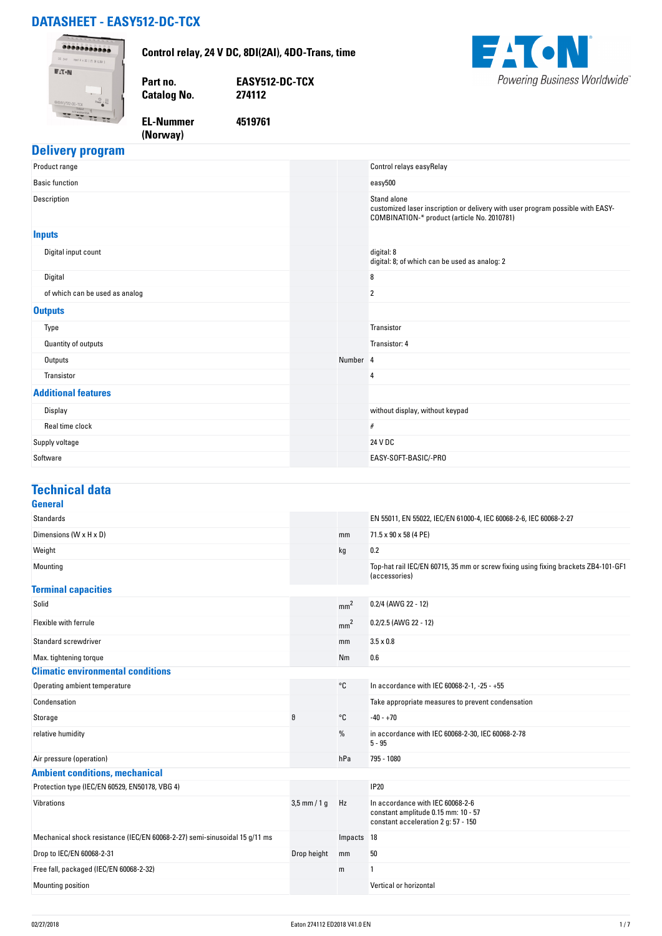# **DATASHEET - EASY512-DC-TCX**



#### **Delivery program**

| Product range                  |          | Control relays easyRelay                                                                                                                     |
|--------------------------------|----------|----------------------------------------------------------------------------------------------------------------------------------------------|
| <b>Basic function</b>          |          | easy500                                                                                                                                      |
| Description                    |          | Stand alone<br>customized laser inscription or delivery with user program possible with EASY-<br>COMBINATION-* product (article No. 2010781) |
| <b>Inputs</b>                  |          |                                                                                                                                              |
| Digital input count            |          | digital: 8<br>digital: 8; of which can be used as analog: 2                                                                                  |
| Digital                        |          | 8                                                                                                                                            |
| of which can be used as analog |          | $\overline{2}$                                                                                                                               |
| <b>Outputs</b>                 |          |                                                                                                                                              |
| Type                           |          | Transistor                                                                                                                                   |
| Quantity of outputs            |          | Transistor: 4                                                                                                                                |
| Outputs                        | Number 4 |                                                                                                                                              |
| Transistor                     |          | 4                                                                                                                                            |
| <b>Additional features</b>     |          |                                                                                                                                              |
| Display                        |          | without display, without keypad                                                                                                              |
| Real time clock                |          | #                                                                                                                                            |
| Supply voltage                 |          | 24 V DC                                                                                                                                      |
| Software                       |          | EASY-SOFT-BASIC/-PRO                                                                                                                         |

#### **Technical data**

| General                                                                    |                |                   |                                                                                                                |
|----------------------------------------------------------------------------|----------------|-------------------|----------------------------------------------------------------------------------------------------------------|
| <b>Standards</b>                                                           |                |                   | EN 55011, EN 55022, IEC/EN 61000-4, IEC 60068-2-6, IEC 60068-2-27                                              |
| Dimensions (W x H x D)                                                     |                | mm                | 71.5 x 90 x 58 (4 PE)                                                                                          |
| Weight                                                                     |                | kg                | 0.2                                                                                                            |
| Mounting                                                                   |                |                   | Top-hat rail IEC/EN 60715, 35 mm or screw fixing using fixing brackets ZB4-101-GF1<br>(accessories)            |
| <b>Terminal capacities</b>                                                 |                |                   |                                                                                                                |
| Solid                                                                      |                | mm <sup>2</sup>   | 0.2/4 (AWG 22 - 12)                                                                                            |
| Flexible with ferrule                                                      |                | mm <sup>2</sup>   | $0.2/2.5$ (AWG 22 - 12)                                                                                        |
| <b>Standard screwdriver</b>                                                |                | mm                | $3.5 \times 0.8$                                                                                               |
| Max. tightening torque                                                     |                | Nm                | 0.6                                                                                                            |
| <b>Climatic environmental conditions</b>                                   |                |                   |                                                                                                                |
| Operating ambient temperature                                              |                | $^{\circ}{\tt C}$ | In accordance with IEC 60068-2-1, -25 - +55                                                                    |
| Condensation                                                               |                |                   | Take appropriate measures to prevent condensation                                                              |
| Storage                                                                    | θ              | °C                | $-40 - +70$                                                                                                    |
| relative humidity                                                          |                | %                 | in accordance with IEC 60068-2-30, IEC 60068-2-78<br>$5 - 95$                                                  |
| Air pressure (operation)                                                   |                | hPa               | 795 - 1080                                                                                                     |
| <b>Ambient conditions, mechanical</b>                                      |                |                   |                                                                                                                |
| Protection type (IEC/EN 60529, EN50178, VBG 4)                             |                |                   | <b>IP20</b>                                                                                                    |
| Vibrations                                                                 | $3,5$ mm / 1 q | Hz                | In accordance with IEC 60068-2-6<br>constant amplitude 0.15 mm: 10 - 57<br>constant acceleration 2 g: 57 - 150 |
| Mechanical shock resistance (IEC/EN 60068-2-27) semi-sinusoidal 15 g/11 ms |                | Impacts 18        |                                                                                                                |
| Drop to IEC/EN 60068-2-31                                                  | Drop height    | mm                | 50                                                                                                             |
| Free fall, packaged (IEC/EN 60068-2-32)                                    |                | m                 |                                                                                                                |
| Mounting position                                                          |                |                   | Vertical or horizontal                                                                                         |
|                                                                            |                |                   |                                                                                                                |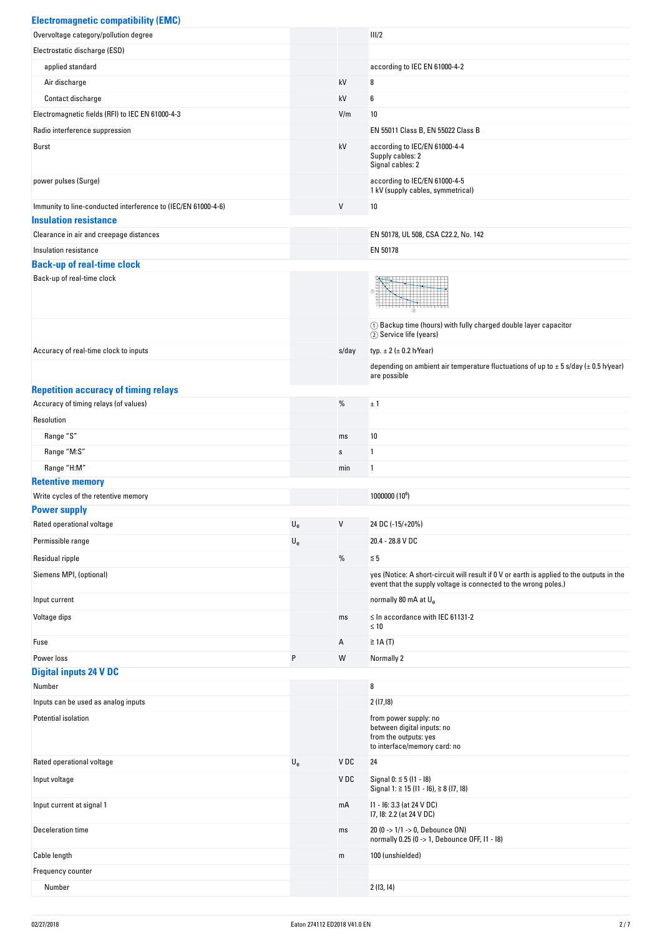| <b>Electromagnetic compatibility (EMC)</b>                    |                           |       |                                                                                                                                                              |
|---------------------------------------------------------------|---------------------------|-------|--------------------------------------------------------------------------------------------------------------------------------------------------------------|
| Overvoltage category/pollution degree                         |                           |       | III/2                                                                                                                                                        |
| Electrostatic discharge (ESD)                                 |                           |       |                                                                                                                                                              |
| applied standard                                              |                           |       | according to IEC EN 61000-4-2                                                                                                                                |
| Air discharge                                                 |                           | kV    | 8                                                                                                                                                            |
| Contact discharge                                             |                           | kV    | 6                                                                                                                                                            |
| Electromagnetic fields (RFI) to IEC EN 61000-4-3              |                           | V/m   | 10                                                                                                                                                           |
| Radio interference suppression                                |                           |       | EN 55011 Class B, EN 55022 Class B                                                                                                                           |
| Burst                                                         |                           | kV    | according to IEC/EN 61000-4-4<br>Supply cables: 2<br>Signal cables: 2                                                                                        |
| power pulses (Surge)                                          |                           |       | according to IEC/EN 61000-4-5<br>1 kV (supply cables, symmetrical)                                                                                           |
| Immunity to line-conducted interference to (IEC/EN 61000-4-6) |                           | V     | 10                                                                                                                                                           |
| <b>Insulation resistance</b>                                  |                           |       |                                                                                                                                                              |
| Clearance in air and creepage distances                       |                           |       | EN 50178, UL 508, CSA C22.2, No. 142                                                                                                                         |
| Insulation resistance                                         |                           |       | EN 50178                                                                                                                                                     |
| <b>Back-up of real-time clock</b>                             |                           |       |                                                                                                                                                              |
| Back-up of real-time clock                                    |                           |       |                                                                                                                                                              |
|                                                               |                           |       | (1) Backup time (hours) with fully charged double layer capacitor<br>2) Service life (years)                                                                 |
| Accuracy of real-time clock to inputs                         |                           | s/day | typ. $\pm 2$ ( $\pm 0.2$ h/Year)                                                                                                                             |
|                                                               |                           |       | depending on ambient air temperature fluctuations of up to $\pm$ 5 s/day ( $\pm$ 0.5 h/year)<br>are possible                                                 |
| <b>Repetition accuracy of timing relays</b>                   |                           |       |                                                                                                                                                              |
| Accuracy of timing relays (of values)                         |                           | $\%$  | ±1                                                                                                                                                           |
| Resolution                                                    |                           |       |                                                                                                                                                              |
| Range "S"                                                     |                           | ms    | 10                                                                                                                                                           |
| Range "M:S"                                                   |                           | s     | 1                                                                                                                                                            |
| Range "H:M"                                                   |                           | min   | 1                                                                                                                                                            |
| <b>Retentive memory</b>                                       |                           |       |                                                                                                                                                              |
| Write cycles of the retentive memory                          |                           |       | 1000000 (10 <sup>6</sup> )                                                                                                                                   |
| <b>Power supply</b>                                           |                           |       |                                                                                                                                                              |
| Rated operational voltage                                     | $U_{e}$                   | V     | 24 DC (-15/+20%)                                                                                                                                             |
| Permissible range                                             | $\mathsf{U}_{\mathsf{e}}$ |       | 20.4 - 28.8 V DC                                                                                                                                             |
| Residual ripple                                               |                           | %     | $\leq 5$                                                                                                                                                     |
| Siemens MPI, (optional)                                       |                           |       | yes (Notice: A short-circuit will result if 0 V or earth is applied to the outputs in the<br>event that the supply voltage is connected to the wrong poles.) |
| Input current                                                 |                           |       | normally 80 mA at U <sub>e</sub>                                                                                                                             |
| Voltage dips                                                  |                           | ms    | $\leq$ In accordance with IEC 61131-2<br>$\leq 10$                                                                                                           |
| Fuse                                                          |                           | Α     | $\geq$ 1A (T)                                                                                                                                                |
| Power loss                                                    | P                         | W     | Normally 2                                                                                                                                                   |
| <b>Digital inputs 24 V DC</b>                                 |                           |       |                                                                                                                                                              |
| Number                                                        |                           |       | 8                                                                                                                                                            |
| Inputs can be used as analog inputs                           |                           |       | 2(17,18)                                                                                                                                                     |
| Potential isolation                                           |                           |       | from power supply: no<br>between digital inputs: no<br>from the outputs: yes<br>to interface/memory card: no                                                 |
| Rated operational voltage                                     | $U_{e}$                   | V DC  | 24                                                                                                                                                           |
| Input voltage                                                 |                           | V DC  | Signal 0: $\leq$ 5 (11 - 18)<br>Signal 1: ≧ 15 (I1 - I6), ≧ 8 (I7, I8)                                                                                       |
| Input current at signal 1                                     |                           | mA    | 11 - 16: 3.3 (at 24 V DC)<br>17, 18: 2.2 (at 24 V DC)                                                                                                        |
| Deceleration time                                             |                           | ms    | 20 (0 -> 1/1 -> 0, Debounce ON)<br>normally 0.25 (0 -> 1, Debounce OFF, I1 - I8)                                                                             |
| Cable length                                                  |                           | m     | 100 (unshielded)                                                                                                                                             |
| Frequency counter                                             |                           |       |                                                                                                                                                              |

Number 2 (13, 14)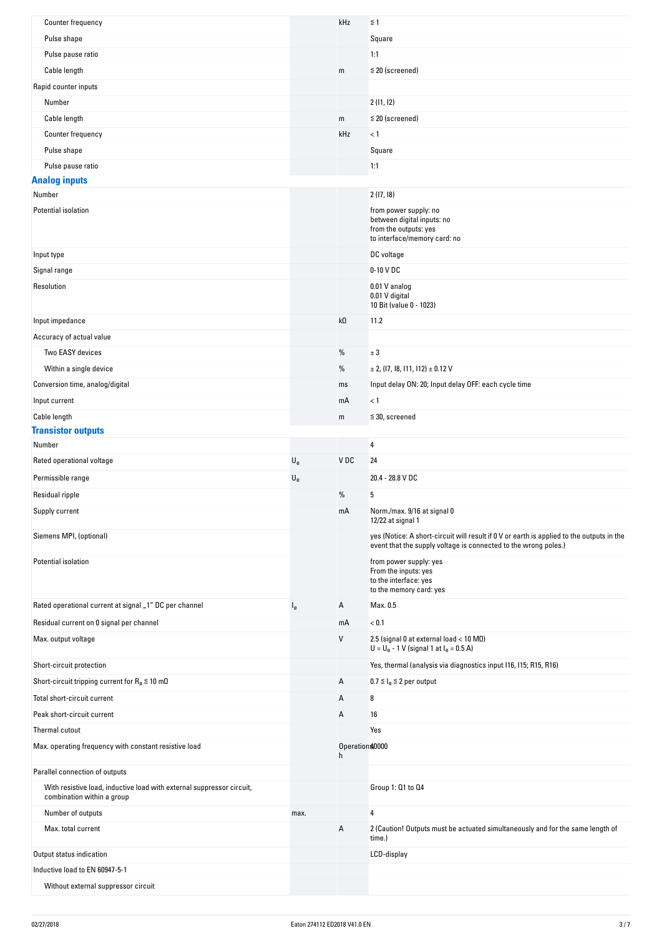| Counter frequency                                                                                   |                           | kHz                  | $\leq$ 1                                                                                                                                                     |
|-----------------------------------------------------------------------------------------------------|---------------------------|----------------------|--------------------------------------------------------------------------------------------------------------------------------------------------------------|
| Pulse shape                                                                                         |                           |                      | Square                                                                                                                                                       |
| Pulse pause ratio                                                                                   |                           |                      | 1:1                                                                                                                                                          |
| Cable length                                                                                        |                           | m                    | $\leq$ 20 (screened)                                                                                                                                         |
| Rapid counter inputs                                                                                |                           |                      |                                                                                                                                                              |
| Number                                                                                              |                           |                      | 2(11, 12)                                                                                                                                                    |
| Cable length                                                                                        |                           | m                    | $\leq$ 20 (screened)                                                                                                                                         |
| Counter frequency                                                                                   |                           | kHz                  | < 1                                                                                                                                                          |
|                                                                                                     |                           |                      |                                                                                                                                                              |
| Pulse shape                                                                                         |                           |                      | Square                                                                                                                                                       |
| Pulse pause ratio                                                                                   |                           |                      | 1:1                                                                                                                                                          |
| <b>Analog inputs</b><br>Number                                                                      |                           |                      | 2(17, 18)                                                                                                                                                    |
|                                                                                                     |                           |                      |                                                                                                                                                              |
| Potential isolation<br>Input type                                                                   |                           |                      | from power supply: no<br>between digital inputs: no<br>from the outputs: yes<br>to interface/memory card: no<br>DC voltage                                   |
| Signal range                                                                                        |                           |                      | 0-10 V DC                                                                                                                                                    |
| Resolution                                                                                          |                           |                      | 0.01 V analog<br>0.01 V digital<br>10 Bit (value 0 - 1023)                                                                                                   |
| Input impedance                                                                                     |                           | $k\Omega$            | 11.2                                                                                                                                                         |
| Accuracy of actual value                                                                            |                           |                      |                                                                                                                                                              |
| Two EASY devices                                                                                    |                           | $\%$                 | ± 3                                                                                                                                                          |
| Within a single device                                                                              |                           | %                    | $\pm$ 2, (17, 18, 111, 112) $\pm$ 0.12 V                                                                                                                     |
| Conversion time, analog/digital                                                                     |                           | ms                   | Input delay ON: 20; Input delay OFF: each cycle time                                                                                                         |
| Input current                                                                                       |                           | mA                   | < 1                                                                                                                                                          |
| Cable length                                                                                        |                           | m                    | $\leq$ 30, screened                                                                                                                                          |
| <b>Transistor outputs</b>                                                                           |                           |                      |                                                                                                                                                              |
| Number                                                                                              |                           |                      | $\overline{4}$                                                                                                                                               |
| Rated operational voltage                                                                           | $\mathsf{U}_{\mathrm{e}}$ | VDC                  | 24                                                                                                                                                           |
| Permissible range                                                                                   | $\mathsf{U}_{\mathsf{e}}$ |                      | 20.4 - 28.8 V DC                                                                                                                                             |
| Residual ripple                                                                                     |                           | %                    | 5                                                                                                                                                            |
| Supply current                                                                                      |                           | mA                   | Norm./max. 9/16 at signal 0                                                                                                                                  |
|                                                                                                     |                           |                      | 12/22 at signal 1                                                                                                                                            |
| Siemens MPI, (optional)                                                                             |                           |                      | yes (Notice: A short-circuit will result if 0 V or earth is applied to the outputs in the<br>event that the supply voltage is connected to the wrong poles.) |
| Potential isolation                                                                                 |                           |                      | from power supply: yes<br>From the inputs: yes<br>to the interface: yes<br>to the memory card: yes                                                           |
| Rated operational current at signal "1" DC per channel                                              | l <sub>e</sub>            | А                    | Max. 0.5                                                                                                                                                     |
| Residual current on 0 signal per channel                                                            |                           | mA                   | < 0.1                                                                                                                                                        |
| Max. output voltage                                                                                 |                           | V                    | 2.5 (signal 0 at external load $<$ 10 MQ)<br>$U = U_e - 1$ V (signal 1 at $I_e = 0.5$ A)                                                                     |
| Short-circuit protection                                                                            |                           |                      | Yes, thermal (analysis via diagnostics input I16, I15; R15, R16)                                                                                             |
| Short-circuit tripping current for $R_a \le 10$ m $\Omega$                                          |                           | Α                    | $0.7 \leq I_e \leq 2$ per output                                                                                                                             |
| Total short-circuit current                                                                         |                           | Α                    | 8                                                                                                                                                            |
| Peak short-circuit current                                                                          |                           | Α                    | 16                                                                                                                                                           |
| Thermal cutout                                                                                      |                           |                      | Yes                                                                                                                                                          |
| Max. operating frequency with constant resistive load                                               |                           | Operations,0000<br>h |                                                                                                                                                              |
| Parallel connection of outputs                                                                      |                           |                      |                                                                                                                                                              |
| With resistive load, inductive load with external suppressor circuit,<br>combination within a group |                           |                      | Group 1: 01 to 04                                                                                                                                            |
| Number of outputs                                                                                   | max.                      |                      | 4                                                                                                                                                            |
| Max. total current                                                                                  |                           | Α                    | 2 (Caution! Outputs must be actuated simultaneously and for the same length of<br>time.)                                                                     |
| Output status indication                                                                            |                           |                      | LCD-display                                                                                                                                                  |
| Inductive load to EN 60947-5-1                                                                      |                           |                      |                                                                                                                                                              |
| Without external suppressor circuit                                                                 |                           |                      |                                                                                                                                                              |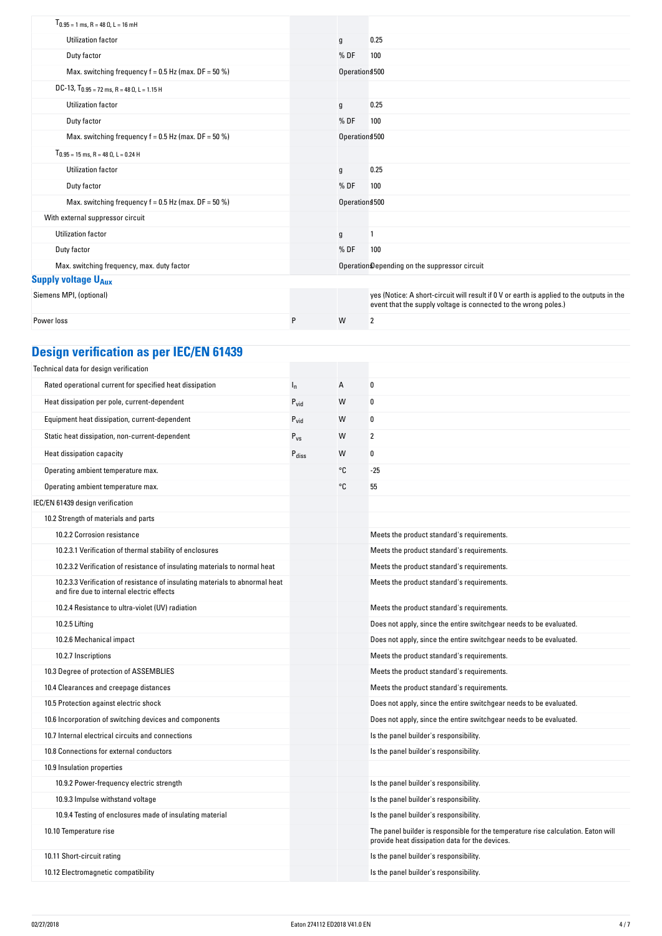| $T_{0.95}$ = 1 ms, R = 48 $\Omega$ , L = 16 mH         |   |                 |                                                                                                                                                              |
|--------------------------------------------------------|---|-----------------|--------------------------------------------------------------------------------------------------------------------------------------------------------------|
| Utilization factor                                     |   | g               | 0.25                                                                                                                                                         |
| Duty factor                                            |   | %DF             | 100                                                                                                                                                          |
| Max. switching frequency $f = 0.5$ Hz (max. DF = 50 %) |   | Operation \$500 |                                                                                                                                                              |
| DC-13, $T_{0.95}$ = 72 ms, R = 48 0, L = 1.15 H        |   |                 |                                                                                                                                                              |
| Utilization factor                                     |   | g               | 0.25                                                                                                                                                         |
| Duty factor                                            |   | %DF             | 100                                                                                                                                                          |
| Max. switching frequency $f = 0.5$ Hz (max. DF = 50 %) |   | Operations 500  |                                                                                                                                                              |
| $T_{0.95}$ = 15 ms, R = 48 $\Omega$ , L = 0.24 H       |   |                 |                                                                                                                                                              |
| Utilization factor                                     |   | g               | 0.25                                                                                                                                                         |
| Duty factor                                            |   | %DF             | 100                                                                                                                                                          |
| Max. switching frequency $f = 0.5$ Hz (max. DF = 50 %) |   | Operations 500  |                                                                                                                                                              |
| With external suppressor circuit                       |   |                 |                                                                                                                                                              |
| <b>Utilization factor</b>                              |   | g               |                                                                                                                                                              |
| Duty factor                                            |   | %DF             | 100                                                                                                                                                          |
| Max. switching frequency, max. duty factor             |   |                 | Operation Depending on the suppressor circuit                                                                                                                |
| <b>Supply voltage UAux</b>                             |   |                 |                                                                                                                                                              |
| Siemens MPI, (optional)                                |   |                 | yes (Notice: A short-circuit will result if 0 V or earth is applied to the outputs in the<br>event that the supply voltage is connected to the wrong poles.) |
| Power loss                                             | P | W               | $\overline{2}$                                                                                                                                               |

# **Design verification as per IEC/EN 61439**

| Technical data for design verification                                                                                    |                   |    |                                                                                                                                     |
|---------------------------------------------------------------------------------------------------------------------------|-------------------|----|-------------------------------------------------------------------------------------------------------------------------------------|
| Rated operational current for specified heat dissipation                                                                  | $I_{n}$           | А  | 0                                                                                                                                   |
| Heat dissipation per pole, current-dependent                                                                              | $P_{vid}$         | W  | 0                                                                                                                                   |
| Equipment heat dissipation, current-dependent                                                                             | $P_{vid}$         | W  | 0                                                                                                                                   |
| Static heat dissipation, non-current-dependent                                                                            | $P_{VS}$          | W  | 2                                                                                                                                   |
| Heat dissipation capacity                                                                                                 | $P_{\text{diss}}$ | W  | 0                                                                                                                                   |
| Operating ambient temperature max.                                                                                        |                   | °C | $-25$                                                                                                                               |
| Operating ambient temperature max.                                                                                        |                   | °C | 55                                                                                                                                  |
| IEC/EN 61439 design verification                                                                                          |                   |    |                                                                                                                                     |
| 10.2 Strength of materials and parts                                                                                      |                   |    |                                                                                                                                     |
| 10.2.2 Corrosion resistance                                                                                               |                   |    | Meets the product standard's requirements.                                                                                          |
| 10.2.3.1 Verification of thermal stability of enclosures                                                                  |                   |    | Meets the product standard's requirements.                                                                                          |
| 10.2.3.2 Verification of resistance of insulating materials to normal heat                                                |                   |    | Meets the product standard's requirements.                                                                                          |
| 10.2.3.3 Verification of resistance of insulating materials to abnormal heat<br>and fire due to internal electric effects |                   |    | Meets the product standard's requirements.                                                                                          |
| 10.2.4 Resistance to ultra-violet (UV) radiation                                                                          |                   |    | Meets the product standard's requirements.                                                                                          |
| 10.2.5 Lifting                                                                                                            |                   |    | Does not apply, since the entire switchgear needs to be evaluated.                                                                  |
| 10.2.6 Mechanical impact                                                                                                  |                   |    | Does not apply, since the entire switchgear needs to be evaluated.                                                                  |
| 10.2.7 Inscriptions                                                                                                       |                   |    | Meets the product standard's requirements.                                                                                          |
| 10.3 Degree of protection of ASSEMBLIES                                                                                   |                   |    | Meets the product standard's requirements.                                                                                          |
| 10.4 Clearances and creepage distances                                                                                    |                   |    | Meets the product standard's requirements.                                                                                          |
| 10.5 Protection against electric shock                                                                                    |                   |    | Does not apply, since the entire switchgear needs to be evaluated.                                                                  |
| 10.6 Incorporation of switching devices and components                                                                    |                   |    | Does not apply, since the entire switchgear needs to be evaluated.                                                                  |
| 10.7 Internal electrical circuits and connections                                                                         |                   |    | Is the panel builder's responsibility.                                                                                              |
| 10.8 Connections for external conductors                                                                                  |                   |    | Is the panel builder's responsibility.                                                                                              |
| 10.9 Insulation properties                                                                                                |                   |    |                                                                                                                                     |
| 10.9.2 Power-frequency electric strength                                                                                  |                   |    | Is the panel builder's responsibility.                                                                                              |
| 10.9.3 Impulse withstand voltage                                                                                          |                   |    | Is the panel builder's responsibility.                                                                                              |
| 10.9.4 Testing of enclosures made of insulating material                                                                  |                   |    | Is the panel builder's responsibility.                                                                                              |
| 10.10 Temperature rise                                                                                                    |                   |    | The panel builder is responsible for the temperature rise calculation. Eaton will<br>provide heat dissipation data for the devices. |
| 10.11 Short-circuit rating                                                                                                |                   |    | Is the panel builder's responsibility.                                                                                              |
| 10.12 Electromagnetic compatibility                                                                                       |                   |    | Is the panel builder's responsibility.                                                                                              |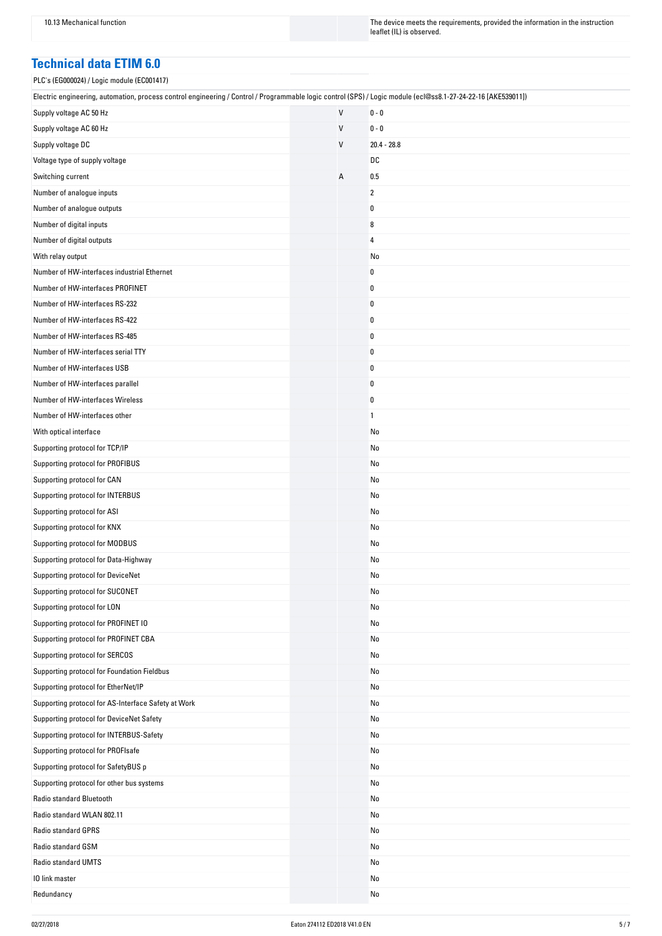10.13 Mechanical function The instruction The device meets the requirements, provided the information in the instruction leaflet (IL) is observed.

#### **Technical data ETIM 6.0**

| PLC's (EG000024) / Logic module (EC001417)                                                                                                                    |              |                |
|---------------------------------------------------------------------------------------------------------------------------------------------------------------|--------------|----------------|
| Electric engineering, automation, process control engineering / Control / Programmable logic control (SPS) / Logic module (ecl@ss8.1-27-24-22-16 [AKE539011]) |              |                |
| Supply voltage AC 50 Hz                                                                                                                                       | $\mathsf{V}$ | $0 - 0$        |
| Supply voltage AC 60 Hz                                                                                                                                       | V            | $0 - 0$        |
| Supply voltage DC                                                                                                                                             | V            | $20.4 - 28.8$  |
| Voltage type of supply voltage                                                                                                                                |              | DC             |
| Switching current                                                                                                                                             | А            | 0.5            |
| Number of analogue inputs                                                                                                                                     |              | $\overline{2}$ |
| Number of analogue outputs                                                                                                                                    |              | $\pmb{0}$      |
| Number of digital inputs                                                                                                                                      |              | 8              |
| Number of digital outputs                                                                                                                                     |              | 4              |
| With relay output                                                                                                                                             |              | No             |
| Number of HW-interfaces industrial Ethernet                                                                                                                   |              | 0              |
| Number of HW-interfaces PROFINET                                                                                                                              |              | $\pmb{0}$      |
| Number of HW-interfaces RS-232                                                                                                                                |              | 0              |
| Number of HW-interfaces RS-422                                                                                                                                |              | 0              |
| Number of HW-interfaces RS-485                                                                                                                                |              | 0              |
| Number of HW-interfaces serial TTY                                                                                                                            |              | 0              |
| Number of HW-interfaces USB                                                                                                                                   |              | $\pmb{0}$      |
| Number of HW-interfaces parallel                                                                                                                              |              | 0              |
| Number of HW-interfaces Wireless                                                                                                                              |              | 0              |
| Number of HW-interfaces other                                                                                                                                 |              | $\mathbf{1}$   |
| With optical interface                                                                                                                                        |              | No             |
| Supporting protocol for TCP/IP                                                                                                                                |              | No             |
| Supporting protocol for PROFIBUS                                                                                                                              |              | No             |
| Supporting protocol for CAN                                                                                                                                   |              | No             |
| Supporting protocol for INTERBUS                                                                                                                              |              | No             |
| Supporting protocol for ASI                                                                                                                                   |              | No             |
| Supporting protocol for KNX                                                                                                                                   |              | No             |
| Supporting protocol for MODBUS                                                                                                                                |              | No             |
| Supporting protocol for Data-Highway                                                                                                                          |              | No             |
| Supporting protocol for DeviceNet                                                                                                                             |              | No             |
| Supporting protocol for SUCONET                                                                                                                               |              | No             |
| Supporting protocol for LON                                                                                                                                   |              | No             |
| Supporting protocol for PROFINET IO                                                                                                                           |              | No             |
| Supporting protocol for PROFINET CBA                                                                                                                          |              | No             |
| Supporting protocol for SERCOS                                                                                                                                |              | No             |
| Supporting protocol for Foundation Fieldbus                                                                                                                   |              | No             |
| Supporting protocol for EtherNet/IP                                                                                                                           |              | No             |
| Supporting protocol for AS-Interface Safety at Work                                                                                                           |              | No             |
| Supporting protocol for DeviceNet Safety                                                                                                                      |              | No             |
| Supporting protocol for INTERBUS-Safety                                                                                                                       |              | No             |
| Supporting protocol for PROFIsafe                                                                                                                             |              | No             |
| Supporting protocol for SafetyBUS p                                                                                                                           |              | No             |
| Supporting protocol for other bus systems                                                                                                                     |              | No             |
| Radio standard Bluetooth                                                                                                                                      |              | No             |
| Radio standard WLAN 802.11                                                                                                                                    |              | No             |
| Radio standard GPRS                                                                                                                                           |              | No             |
| Radio standard GSM                                                                                                                                            |              | No             |
| Radio standard UMTS                                                                                                                                           |              | No             |
| 10 link master                                                                                                                                                |              | No             |
| Redundancy                                                                                                                                                    |              | No             |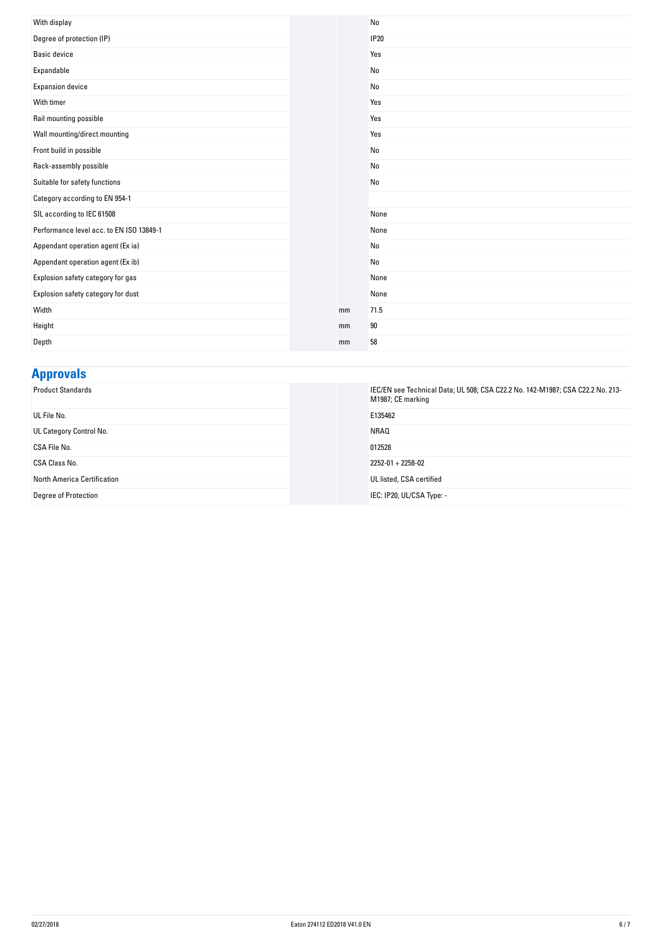| With display                             |    | N <sub>0</sub> |
|------------------------------------------|----|----------------|
| Degree of protection (IP)                |    | <b>IP20</b>    |
| <b>Basic device</b>                      |    | Yes            |
| Expandable                               |    | No             |
| Expansion device                         |    | No             |
| With timer                               |    | Yes            |
| Rail mounting possible                   |    | Yes            |
| Wall mounting/direct mounting            |    | Yes            |
| Front build in possible                  |    | No             |
| Rack-assembly possible                   |    | No             |
| Suitable for safety functions            |    | No             |
| Category according to EN 954-1           |    |                |
| SIL according to IEC 61508               |    | None           |
| Performance level acc. to EN ISO 13849-1 |    | None           |
| Appendant operation agent (Ex ia)        |    | No             |
| Appendant operation agent (Ex ib)        |    | No             |
| Explosion safety category for gas        |    | None           |
| Explosion safety category for dust       |    | None           |
| Width                                    | mm | 71.5           |
| Height                                   | mm | 90             |
| Depth                                    | mm | 58             |

## **Approvals**

| <b>Product Standards</b>    | IEC/EN see Technical Data; UL 508; CSA C22.2 No. 142-M1987; CSA C22.2 No. 213-<br>M1987; CE marking |
|-----------------------------|-----------------------------------------------------------------------------------------------------|
| UL File No.                 | E135462                                                                                             |
| UL Category Control No.     | NRAQ                                                                                                |
| CSA File No.                | 012528                                                                                              |
| CSA Class No.               | $2252 - 01 + 2258 - 02$                                                                             |
| North America Certification | UL listed, CSA certified                                                                            |
| <b>Degree of Protection</b> | IEC: IP20, UL/CSA Type: -                                                                           |